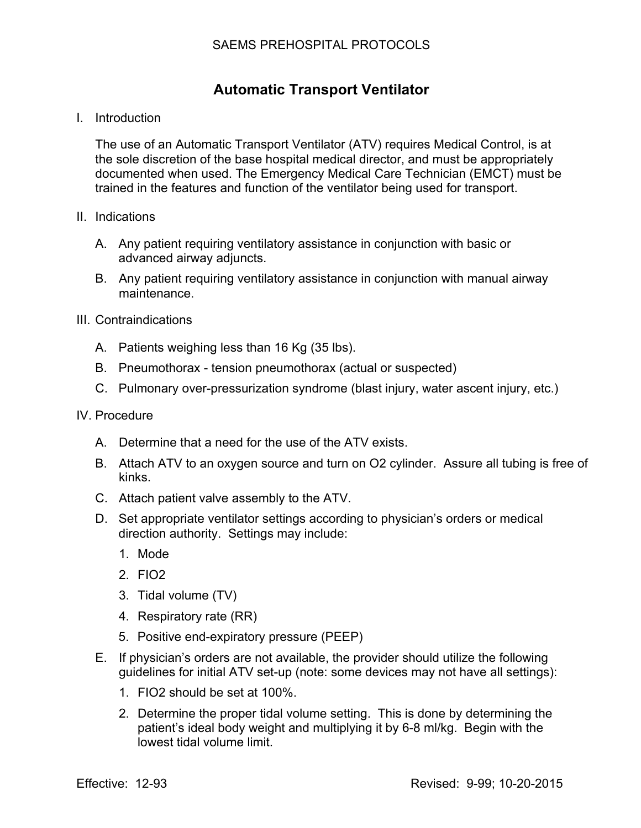## **Automatic Transport Ventilator**

I. Introduction

The use of an Automatic Transport Ventilator (ATV) requires Medical Control, is at the sole discretion of the base hospital medical director, and must be appropriately documented when used. The Emergency Medical Care Technician (EMCT) must be trained in the features and function of the ventilator being used for transport.

- II. Indications
	- A. Any patient requiring ventilatory assistance in conjunction with basic or advanced airway adjuncts.
	- B. Any patient requiring ventilatory assistance in conjunction with manual airway maintenance.
- III. Contraindications
	- A. Patients weighing less than 16 Kg (35 lbs).
	- B. Pneumothorax tension pneumothorax (actual or suspected)
	- C. Pulmonary over-pressurization syndrome (blast injury, water ascent injury, etc.)
- IV. Procedure
	- A. Determine that a need for the use of the ATV exists.
	- B. Attach ATV to an oxygen source and turn on O2 cylinder. Assure all tubing is free of kinks.
	- C. Attach patient valve assembly to the ATV.
	- D. Set appropriate ventilator settings according to physician's orders or medical direction authority. Settings may include:
		- 1. Mode
		- 2. FIO2
		- 3. Tidal volume (TV)
		- 4. Respiratory rate (RR)
		- 5. Positive end-expiratory pressure (PEEP)
	- E. If physician's orders are not available, the provider should utilize the following guidelines for initial ATV set-up (note: some devices may not have all settings):
		- 1. FIO2 should be set at 100%.
		- 2. Determine the proper tidal volume setting. This is done by determining the patient's ideal body weight and multiplying it by 6-8 ml/kg. Begin with the lowest tidal volume limit.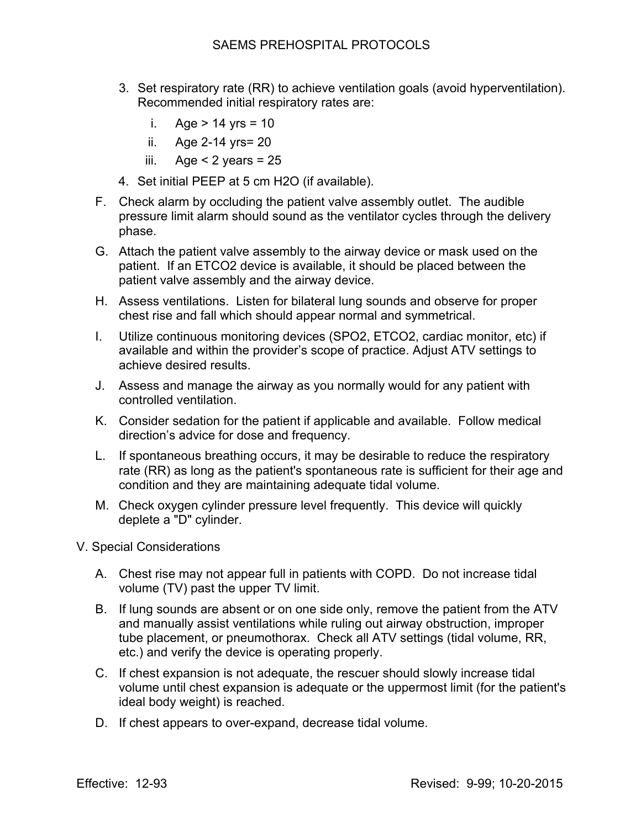- 3. Set respiratory rate (RR) to achieve ventilation goals (avoid hyperventilation). Recommended initial respiratory rates are:
	- i. Age  $> 14$  yrs = 10
	- ii. Age 2-14 yrs= 20
	- iii. Age  $<$  2 years = 25
- 4. Set initial PEEP at 5 cm H2O (if available).
- F. Check alarm by occluding the patient valve assembly outlet. The audible pressure limit alarm should sound as the ventilator cycles through the delivery phase.
- G. Attach the patient valve assembly to the airway device or mask used on the patient. If an ETCO2 device is available, it should be placed between the patient valve assembly and the airway device.
- H. Assess ventilations. Listen for bilateral lung sounds and observe for proper chest rise and fall which should appear normal and symmetrical.
- I. Utilize continuous monitoring devices (SPO2, ETCO2, cardiac monitor, etc) if available and within the provider's scope of practice. Adjust ATV settings to achieve desired results.
- J. Assess and manage the airway as you normally would for any patient with controlled ventilation.
- K. Consider sedation for the patient if applicable and available. Follow medical direction's advice for dose and frequency.
- L. If spontaneous breathing occurs, it may be desirable to reduce the respiratory rate (RR) as long as the patient's spontaneous rate is sufficient for their age and condition and they are maintaining adequate tidal volume.
- M. Check oxygen cylinder pressure level frequently. This device will quickly deplete a "D" cylinder.
- V. Special Considerations
	- A. Chest rise may not appear full in patients with COPD. Do not increase tidal volume (TV) past the upper TV limit.
	- B. If lung sounds are absent or on one side only, remove the patient from the ATV and manually assist ventilations while ruling out airway obstruction, improper tube placement, or pneumothorax. Check all ATV settings (tidal volume, RR, etc.) and verify the device is operating properly.
	- C. If chest expansion is not adequate, the rescuer should slowly increase tidal volume until chest expansion is adequate or the uppermost limit (for the patient's ideal body weight) is reached.
	- D. If chest appears to over-expand, decrease tidal volume.